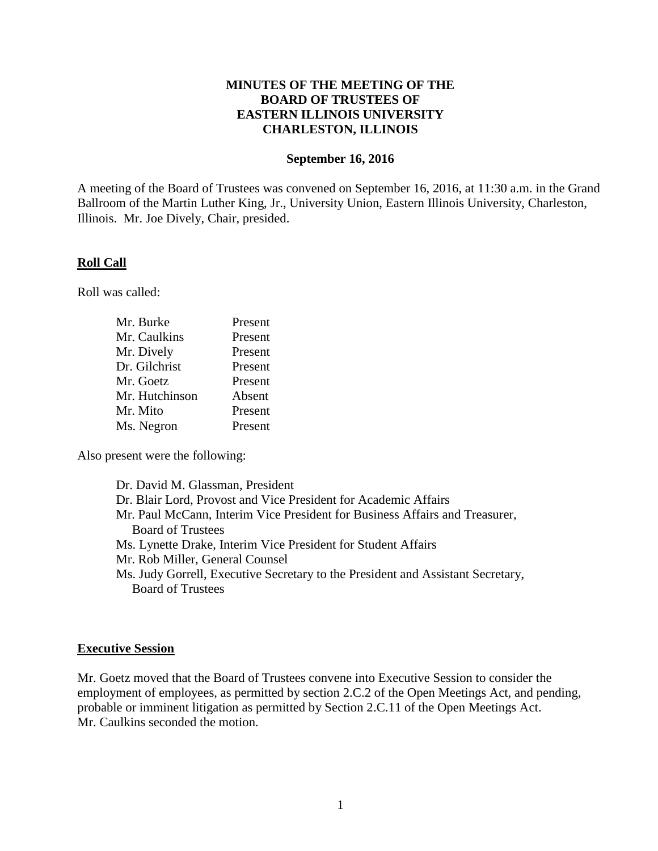# **MINUTES OF THE MEETING OF THE BOARD OF TRUSTEES OF EASTERN ILLINOIS UNIVERSITY CHARLESTON, ILLINOIS**

#### **September 16, 2016**

A meeting of the Board of Trustees was convened on September 16, 2016, at 11:30 a.m. in the Grand Ballroom of the Martin Luther King, Jr., University Union, Eastern Illinois University, Charleston, Illinois. Mr. Joe Dively, Chair, presided.

#### **Roll Call**

Roll was called:

| Mr. Burke      | Present |
|----------------|---------|
| Mr. Caulkins   | Present |
| Mr. Dively     | Present |
| Dr. Gilchrist  | Present |
| Mr. Goetz      | Present |
| Mr. Hutchinson | Absent  |
| Mr. Mito       | Present |
| Ms. Negron     | Present |

Also present were the following:

| Dr. David M. Glassman, President                                                |
|---------------------------------------------------------------------------------|
| Dr. Blair Lord, Provost and Vice President for Academic Affairs                 |
| Mr. Paul McCann, Interim Vice President for Business Affairs and Treasurer,     |
| <b>Board of Trustees</b>                                                        |
| Ms. Lynette Drake, Interim Vice President for Student Affairs                   |
| Mr. Rob Miller, General Counsel                                                 |
| Ms. Judy Gorrell, Executive Secretary to the President and Assistant Secretary, |
| <b>Board of Trustees</b>                                                        |
|                                                                                 |

## **Executive Session**

Mr. Goetz moved that the Board of Trustees convene into Executive Session to consider the employment of employees, as permitted by section 2.C.2 of the Open Meetings Act, and pending, probable or imminent litigation as permitted by Section 2.C.11 of the Open Meetings Act. Mr. Caulkins seconded the motion.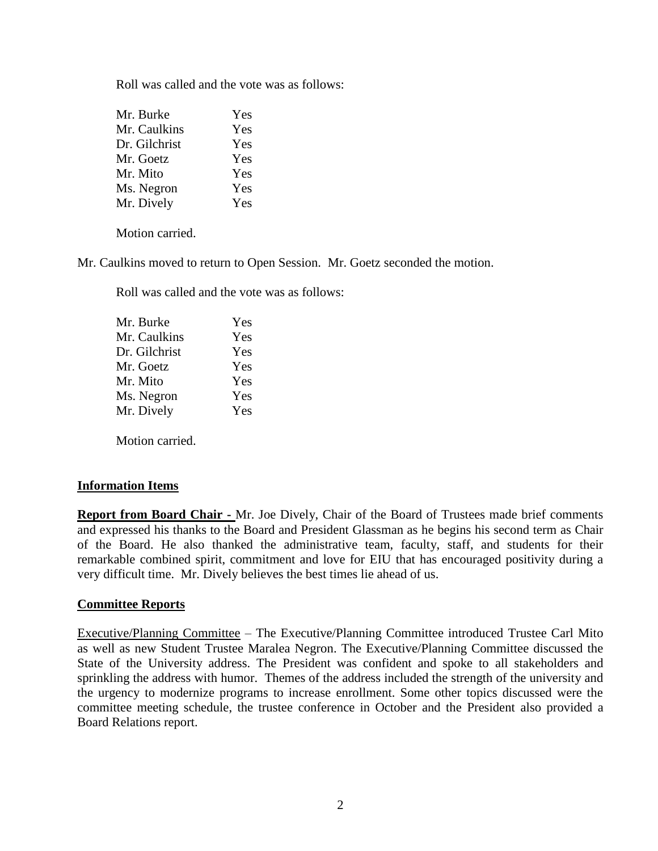Roll was called and the vote was as follows:

| Mr. Burke     | Yes |
|---------------|-----|
| Mr. Caulkins  | Yes |
| Dr. Gilchrist | Yes |
| Mr. Goetz     | Yes |
| Mr. Mito      | Yes |
| Ms. Negron    | Yes |
| Mr. Dively    | Yes |

Motion carried.

Mr. Caulkins moved to return to Open Session. Mr. Goetz seconded the motion.

Roll was called and the vote was as follows:

| Mr. Burke     | Yes |
|---------------|-----|
| Mr. Caulkins  | Yes |
| Dr. Gilchrist | Yes |
| Mr. Goetz     | Yes |
| Mr. Mito      | Yes |
| Ms. Negron    | Yes |
| Mr. Dively    | Yes |
|               |     |

Motion carried.

## **Information Items**

**Report from Board Chair -** Mr. Joe Dively, Chair of the Board of Trustees made brief comments and expressed his thanks to the Board and President Glassman as he begins his second term as Chair of the Board. He also thanked the administrative team, faculty, staff, and students for their remarkable combined spirit, commitment and love for EIU that has encouraged positivity during a very difficult time. Mr. Dively believes the best times lie ahead of us.

## **Committee Reports**

Executive/Planning Committee – The Executive/Planning Committee introduced Trustee Carl Mito as well as new Student Trustee Maralea Negron. The Executive/Planning Committee discussed the State of the University address. The President was confident and spoke to all stakeholders and sprinkling the address with humor. Themes of the address included the strength of the university and the urgency to modernize programs to increase enrollment. Some other topics discussed were the committee meeting schedule, the trustee conference in October and the President also provided a Board Relations report.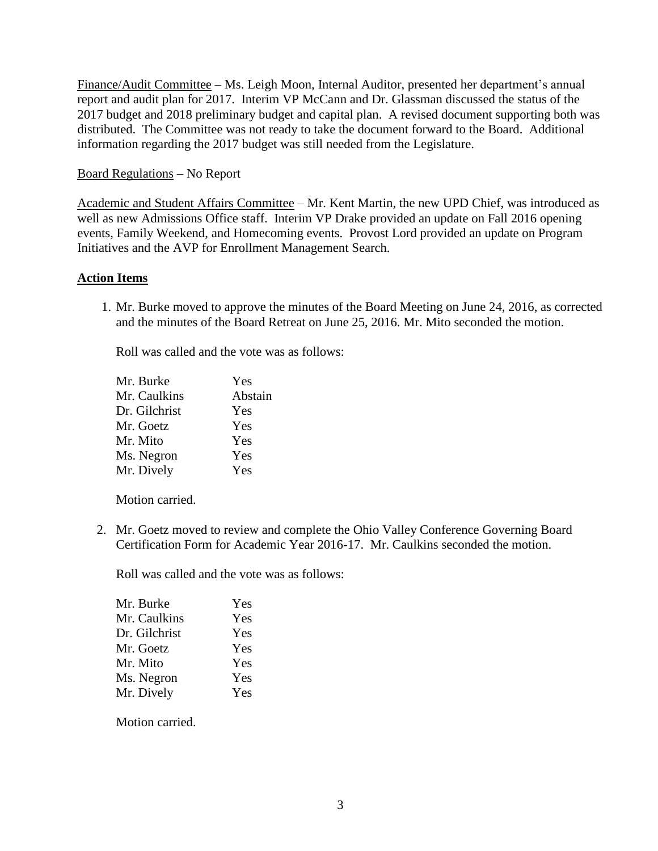Finance/Audit Committee – Ms. Leigh Moon, Internal Auditor, presented her department's annual report and audit plan for 2017. Interim VP McCann and Dr. Glassman discussed the status of the 2017 budget and 2018 preliminary budget and capital plan. A revised document supporting both was distributed. The Committee was not ready to take the document forward to the Board. Additional information regarding the 2017 budget was still needed from the Legislature.

## Board Regulations – No Report

Academic and Student Affairs Committee – Mr. Kent Martin, the new UPD Chief, was introduced as well as new Admissions Office staff. Interim VP Drake provided an update on Fall 2016 opening events, Family Weekend, and Homecoming events. Provost Lord provided an update on Program Initiatives and the AVP for Enrollment Management Search.

# **Action Items**

1. Mr. Burke moved to approve the minutes of the Board Meeting on June 24, 2016, as corrected and the minutes of the Board Retreat on June 25, 2016. Mr. Mito seconded the motion.

Roll was called and the vote was as follows:

| Yes     |
|---------|
| Abstain |
| Yes     |
| Yes     |
| Yes     |
| Yes     |
| Yes     |
|         |

Motion carried.

2. Mr. Goetz moved to review and complete the Ohio Valley Conference Governing Board Certification Form for Academic Year 2016-17. Mr. Caulkins seconded the motion.

Roll was called and the vote was as follows:

| Mr. Burke     | Yes |
|---------------|-----|
| Mr. Caulkins  | Yes |
| Dr. Gilchrist | Yes |
| Mr. Goetz     | Yes |
| Mr. Mito      | Yes |
| Ms. Negron    | Yes |
| Mr. Dively    | Yes |

Motion carried.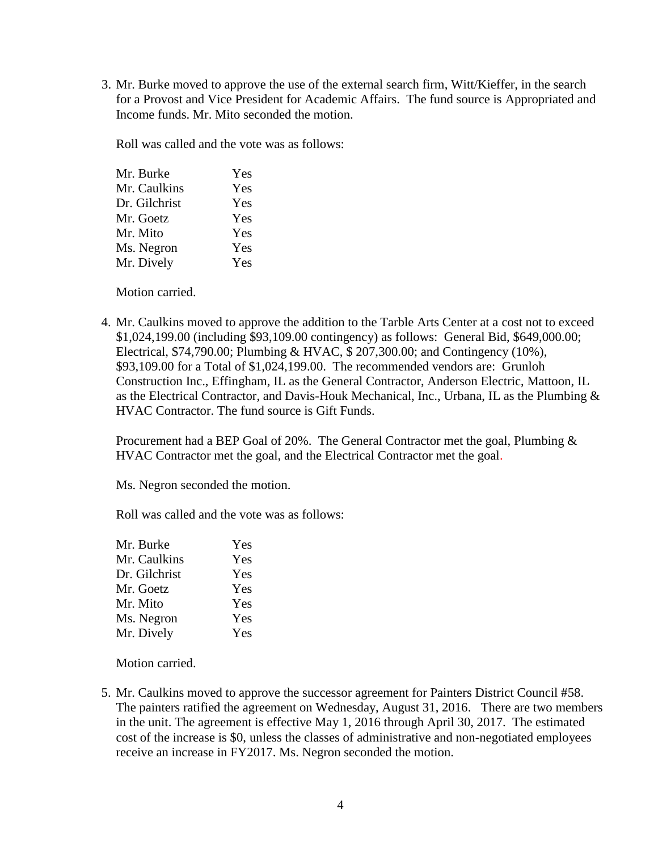3. Mr. Burke moved to approve the use of the external search firm, Witt/Kieffer, in the search for a Provost and Vice President for Academic Affairs. The fund source is Appropriated and Income funds. Mr. Mito seconded the motion.

Roll was called and the vote was as follows:

| Mr. Burke     | Yes |
|---------------|-----|
| Mr. Caulkins  | Yes |
| Dr. Gilchrist | Yes |
| Mr. Goetz     | Yes |
| Mr. Mito      | Yes |
| Ms. Negron    | Yes |
| Mr. Dively    | Yes |
|               |     |

Motion carried.

4. Mr. Caulkins moved to approve the addition to the Tarble Arts Center at a cost not to exceed \$1,024,199.00 (including \$93,109.00 contingency) as follows: General Bid, \$649,000.00; Electrical, \$74,790.00; Plumbing & HVAC, \$ 207,300.00; and Contingency (10%), \$93,109.00 for a Total of \$1,024,199.00. The recommended vendors are: Grunloh Construction Inc., Effingham, IL as the General Contractor, Anderson Electric, Mattoon, IL as the Electrical Contractor, and Davis-Houk Mechanical, Inc., Urbana, IL as the Plumbing & HVAC Contractor. The fund source is Gift Funds.

Procurement had a BEP Goal of 20%. The General Contractor met the goal, Plumbing & HVAC Contractor met the goal, and the Electrical Contractor met the goal.

Ms. Negron seconded the motion.

Roll was called and the vote was as follows:

| Yes |
|-----|
| Yes |
| Yes |
| Yes |
| Yes |
| Yes |
| Yes |
|     |

Motion carried.

5. Mr. Caulkins moved to approve the successor agreement for Painters District Council #58. The painters ratified the agreement on Wednesday, August 31, 2016. There are two members in the unit. The agreement is effective May 1, 2016 through April 30, 2017. The estimated cost of the increase is \$0, unless the classes of administrative and non-negotiated employees receive an increase in FY2017. Ms. Negron seconded the motion.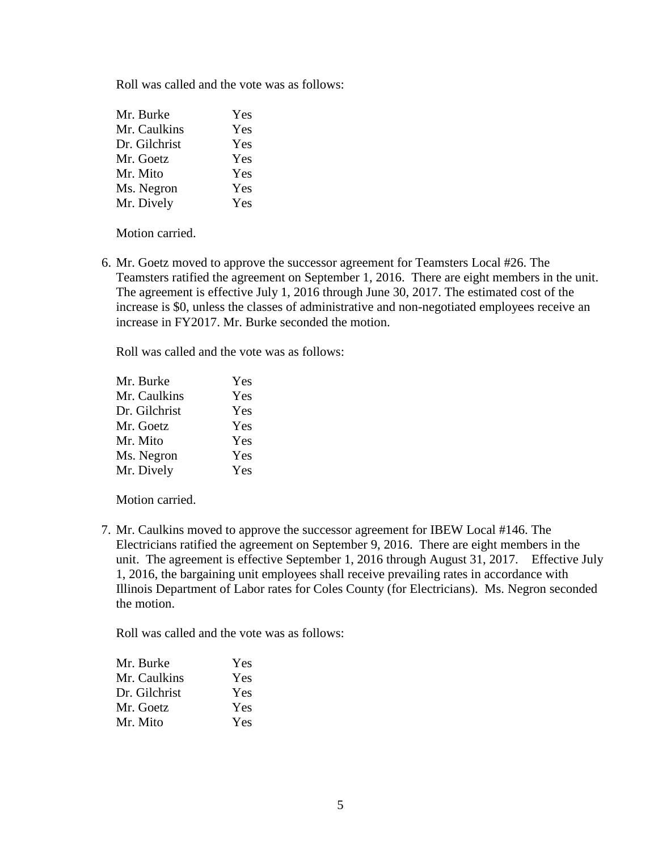Roll was called and the vote was as follows:

| Mr. Burke     | Yes |
|---------------|-----|
| Mr. Caulkins  | Yes |
| Dr. Gilchrist | Yes |
| Mr. Goetz     | Yes |
| Mr. Mito      | Yes |
| Ms. Negron    | Yes |
| Mr. Dively    | Yes |

Motion carried.

6. Mr. Goetz moved to approve the successor agreement for Teamsters Local #26. The Teamsters ratified the agreement on September 1, 2016. There are eight members in the unit. The agreement is effective July 1, 2016 through June 30, 2017. The estimated cost of the increase is \$0, unless the classes of administrative and non-negotiated employees receive an increase in FY2017. Mr. Burke seconded the motion.

Roll was called and the vote was as follows:

| Mr. Burke     | Yes |
|---------------|-----|
| Mr. Caulkins  | Yes |
| Dr. Gilchrist | Yes |
| Mr. Goetz     | Yes |
| Mr. Mito      | Yes |
| Ms. Negron    | Yes |
| Mr. Dively    | Yes |

Motion carried.

7. Mr. Caulkins moved to approve the successor agreement for IBEW Local #146. The Electricians ratified the agreement on September 9, 2016. There are eight members in the unit. The agreement is effective September 1, 2016 through August 31, 2017. Effective July 1, 2016, the bargaining unit employees shall receive prevailing rates in accordance with Illinois Department of Labor rates for Coles County (for Electricians). Ms. Negron seconded the motion.

Roll was called and the vote was as follows:

| Mr. Burke     | Yes        |
|---------------|------------|
| Mr. Caulkins  | Yes        |
| Dr. Gilchrist | <b>Yes</b> |
| Mr. Goetz     | Yes        |
| Mr. Mito      | <b>Yes</b> |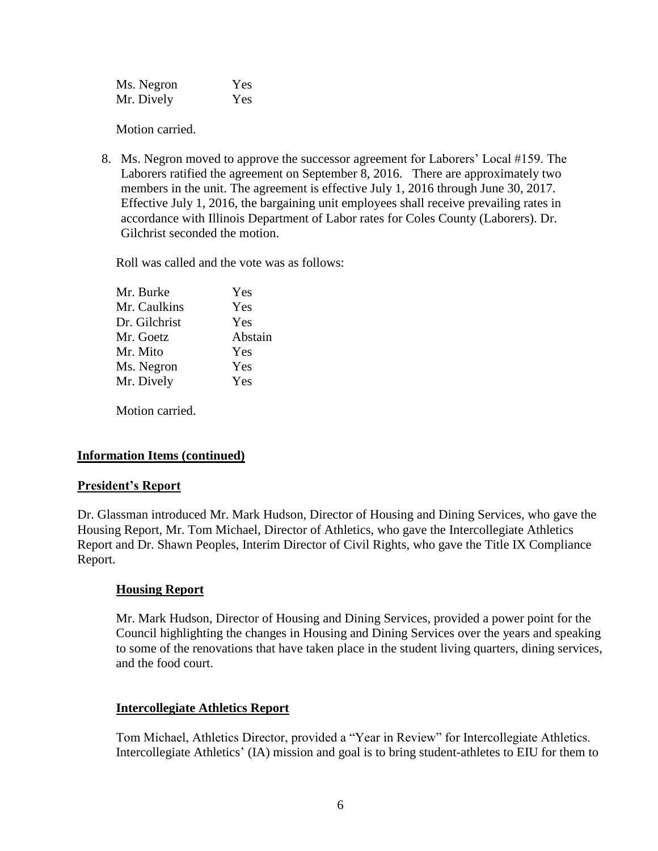| Ms. Negron | Yes |
|------------|-----|
| Mr. Dively | Yes |

Motion carried.

8. Ms. Negron moved to approve the successor agreement for Laborers' Local #159. The Laborers ratified the agreement on September 8, 2016. There are approximately two members in the unit. The agreement is effective July 1, 2016 through June 30, 2017. Effective July 1, 2016, the bargaining unit employees shall receive prevailing rates in accordance with Illinois Department of Labor rates for Coles County (Laborers). Dr. Gilchrist seconded the motion.

Roll was called and the vote was as follows:

| Mr. Burke     | Yes     |
|---------------|---------|
| Mr. Caulkins  | Yes     |
| Dr. Gilchrist | Yes     |
| Mr. Goetz     | Abstain |
| Mr. Mito      | Yes     |
| Ms. Negron    | Yes     |
| Mr. Dively    | Yes     |
|               |         |

Motion carried.

# **Information Items (continued)**

## **President's Report**

Dr. Glassman introduced Mr. Mark Hudson, Director of Housing and Dining Services, who gave the Housing Report, Mr. Tom Michael, Director of Athletics, who gave the Intercollegiate Athletics Report and Dr. Shawn Peoples, Interim Director of Civil Rights, who gave the Title IX Compliance Report.

## **Housing Report**

Mr. Mark Hudson, Director of Housing and Dining Services, provided a power point for the Council highlighting the changes in Housing and Dining Services over the years and speaking to some of the renovations that have taken place in the student living quarters, dining services, and the food court.

## **Intercollegiate Athletics Report**

Tom Michael, Athletics Director, provided a "Year in Review" for Intercollegiate Athletics. Intercollegiate Athletics' (IA) mission and goal is to bring student-athletes to EIU for them to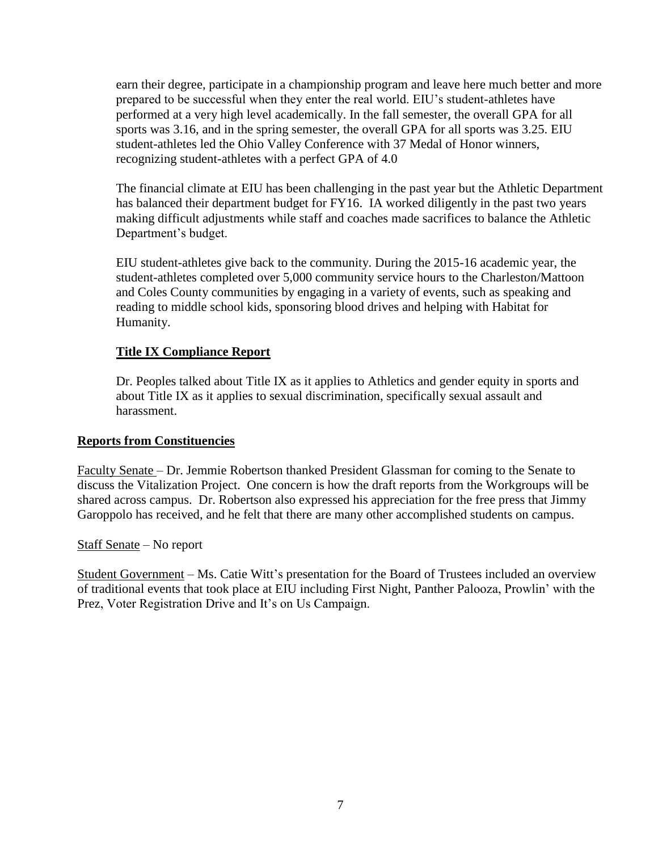earn their degree, participate in a championship program and leave here much better and more prepared to be successful when they enter the real world. EIU's student-athletes have performed at a very high level academically. In the fall semester, the overall GPA for all sports was 3.16, and in the spring semester, the overall GPA for all sports was 3.25. EIU student-athletes led the Ohio Valley Conference with 37 Medal of Honor winners, recognizing student-athletes with a perfect GPA of 4.0

The financial climate at EIU has been challenging in the past year but the Athletic Department has balanced their department budget for FY16. IA worked diligently in the past two years making difficult adjustments while staff and coaches made sacrifices to balance the Athletic Department's budget.

EIU student-athletes give back to the community. During the 2015-16 academic year, the student-athletes completed over 5,000 community service hours to the Charleston/Mattoon and Coles County communities by engaging in a variety of events, such as speaking and reading to middle school kids, sponsoring blood drives and helping with Habitat for Humanity.

# **Title IX Compliance Report**

Dr. Peoples talked about Title IX as it applies to Athletics and gender equity in sports and about Title IX as it applies to sexual discrimination, specifically sexual assault and harassment.

## **Reports from Constituencies**

Faculty Senate – Dr. Jemmie Robertson thanked President Glassman for coming to the Senate to discuss the Vitalization Project. One concern is how the draft reports from the Workgroups will be shared across campus. Dr. Robertson also expressed his appreciation for the free press that Jimmy Garoppolo has received, and he felt that there are many other accomplished students on campus.

## Staff Senate – No report

Student Government – Ms. Catie Witt's presentation for the Board of Trustees included an overview of traditional events that took place at EIU including First Night, Panther Palooza, Prowlin' with the Prez, Voter Registration Drive and It's on Us Campaign.